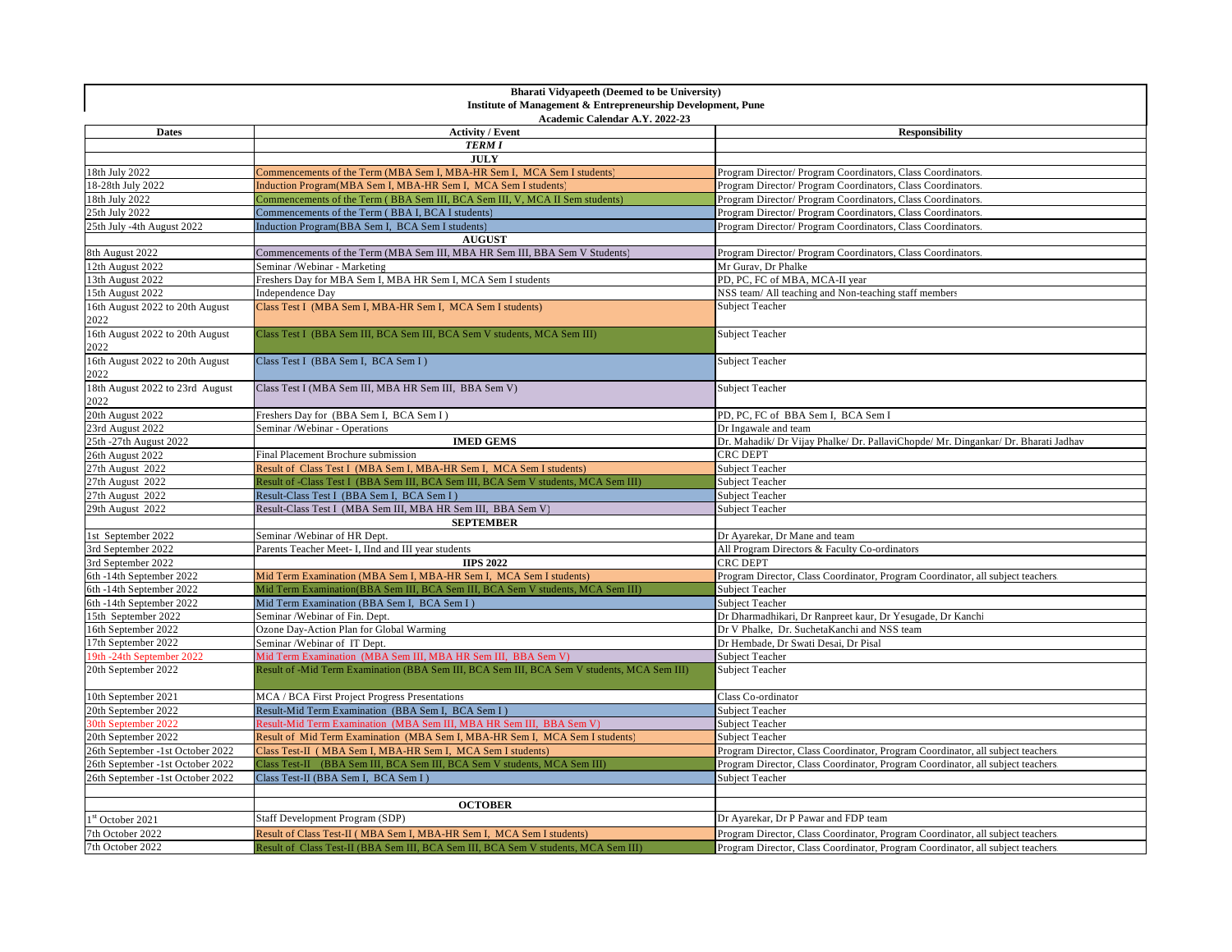| <b>Bharati Vidyapeeth (Deemed to be University)</b>                                            |                                                                                             |                                                                                    |  |  |
|------------------------------------------------------------------------------------------------|---------------------------------------------------------------------------------------------|------------------------------------------------------------------------------------|--|--|
| Institute of Management & Entrepreneurship Development, Pune<br>Academic Calendar A.Y. 2022-23 |                                                                                             |                                                                                    |  |  |
| <b>Dates</b>                                                                                   | <b>Activity / Event</b>                                                                     | <b>Responsibility</b>                                                              |  |  |
|                                                                                                | <b>TERM I</b>                                                                               |                                                                                    |  |  |
|                                                                                                | <b>JULY</b>                                                                                 |                                                                                    |  |  |
| 18th July 2022                                                                                 | Commencements of the Term (MBA Sem I, MBA-HR Sem I, MCA Sem I students)                     | Program Director/ Program Coordinators, Class Coordinators                         |  |  |
| 18-28th July 2022                                                                              | Induction Program(MBA Sem I, MBA-HR Sem I, MCA Sem I students)                              | Program Director/ Program Coordinators, Class Coordinators                         |  |  |
| 18th July 2022                                                                                 | Commencements of the Term (BBA Sem III, BCA Sem III, V, MCA II Sem students)                | Program Director/ Program Coordinators, Class Coordinators.                        |  |  |
| 25th July 2022                                                                                 | Commencements of the Term (BBA I, BCA I students)                                           | Program Director/ Program Coordinators, Class Coordinators.                        |  |  |
| 25th July -4th August 2022                                                                     | Induction Program(BBA Sem I, BCA Sem I students)                                            | Program Director/ Program Coordinators, Class Coordinators.                        |  |  |
|                                                                                                | <b>AUGUST</b>                                                                               |                                                                                    |  |  |
| 8th August 2022                                                                                | Commencements of the Term (MBA Sem III, MBA HR Sem III, BBA Sem V Students)                 | Program Director/ Program Coordinators, Class Coordinators                         |  |  |
| 12th August 2022                                                                               | Seminar / Webinar - Marketing                                                               | Mr Gurav, Dr Phalke                                                                |  |  |
| 13th August 2022                                                                               | Freshers Day for MBA Sem I, MBA HR Sem I, MCA Sem I students                                | PD, PC, FC of MBA, MCA-II year                                                     |  |  |
| 15th August 2022                                                                               | Independence Day                                                                            | NSS team/ All teaching and Non-teaching staff members                              |  |  |
| 16th August 2022 to 20th August<br>2022                                                        | Class Test I (MBA Sem I, MBA-HR Sem I, MCA Sem I students)                                  | Subject Teacher                                                                    |  |  |
| 16th August 2022 to 20th August<br>2022                                                        | Class Test I (BBA Sem III, BCA Sem III, BCA Sem V students, MCA Sem III)                    | Subject Teacher                                                                    |  |  |
| 16th August 2022 to 20th August<br>2022                                                        | Class Test I (BBA Sem I, BCA Sem I)                                                         | Subject Teacher                                                                    |  |  |
| 18th August 2022 to 23rd August<br>2022                                                        | Class Test I (MBA Sem III, MBA HR Sem III, BBA Sem V)                                       | <b>Subject Teacher</b>                                                             |  |  |
| 20th August 2022                                                                               | Freshers Day for (BBA Sem I, BCA Sem I)                                                     | PD, PC, FC of BBA Sem I, BCA Sem I                                                 |  |  |
| 23rd August 2022                                                                               | Seminar /Webinar - Operations                                                               | Dr Ingawale and team                                                               |  |  |
| 25th -27th August 2022                                                                         | <b>IMED GEMS</b>                                                                            | Dr. Mahadik/ Dr Vijay Phalke/ Dr. PallaviChopde/ Mr. Dingankar/ Dr. Bharati Jadhav |  |  |
| 26th August 2022                                                                               | Final Placement Brochure submission                                                         | <b>CRC DEPT</b>                                                                    |  |  |
| 27th August 2022                                                                               | Result of Class Test I (MBA Sem I, MBA-HR Sem I, MCA Sem I students)                        | Subject Teacher                                                                    |  |  |
| 27th August 2022                                                                               | Result of -Class Test I (BBA Sem III, BCA Sem III, BCA Sem V students, MCA Sem III)         | Subject Teacher                                                                    |  |  |
| 27th August 2022                                                                               | Result-Class Test I (BBA Sem I, BCA Sem I)                                                  | <b>Subject Teacher</b>                                                             |  |  |
| 29th August 2022                                                                               | Result-Class Test I (MBA Sem III, MBA HR Sem III, BBA Sem V)                                | Subject Teacher                                                                    |  |  |
|                                                                                                | <b>SEPTEMBER</b>                                                                            |                                                                                    |  |  |
| 1st September 2022                                                                             | Seminar / Webinar of HR Dept.                                                               | Dr Ayarekar, Dr Mane and team                                                      |  |  |
| 3rd September 2022                                                                             | Parents Teacher Meet- I, IInd and III year students                                         | All Program Directors & Faculty Co-ordinators                                      |  |  |
| 3rd September 2022                                                                             | <b>IIPS 2022</b>                                                                            | CRC DEPT                                                                           |  |  |
| 6th -14th September 2022                                                                       | Mid Term Examination (MBA Sem I, MBA-HR Sem I, MCA Sem I students)                          | Program Director, Class Coordinator, Program Coordinator, all subject teachers     |  |  |
| 6th -14th September 2022                                                                       | Mid Term Examination(BBA Sem III, BCA Sem III, BCA Sem V students, MCA Sem III)             | <b>Subject Teacher</b>                                                             |  |  |
| 6th -14th September 2022                                                                       | Mid Term Examination (BBA Sem I, BCA Sem I)                                                 | Subject Teacher                                                                    |  |  |
| 15th September 2022                                                                            | Seminar /Webinar of Fin. Dept.                                                              | Dr Dharmadhikari, Dr Ranpreet kaur, Dr Yesugade, Dr Kanchi                         |  |  |
| 16th September 2022                                                                            | Ozone Day-Action Plan for Global Warming                                                    | Dr V Phalke, Dr. SuchetaKanchi and NSS team                                        |  |  |
| 17th September 2022                                                                            | Seminar /Webinar of IT Dept.                                                                | Dr Hembade, Dr Swati Desai, Dr Pisal                                               |  |  |
| 19th -24th September 2022                                                                      | Mid Term Examination (MBA Sem III, MBA HR Sem III, BBA Sem V)                               | <b>Subject Teacher</b>                                                             |  |  |
| 20th September 2022                                                                            | Result of -Mid Term Examination (BBA Sem III, BCA Sem III, BCA Sem V students, MCA Sem III) | <b>Subject Teacher</b>                                                             |  |  |
| 10th September 2021                                                                            | MCA / BCA First Project Progress Presentations                                              | Class Co-ordinator                                                                 |  |  |
| 20th September 2022                                                                            | Result-Mid Term Examination (BBA Sem I, BCA Sem I)                                          | Subject Teacher                                                                    |  |  |
| 30th September 2022                                                                            | Result-Mid Term Examination (MBA Sem III, MBA HR Sem III, BBA Sem V)                        | Subject Teacher                                                                    |  |  |
| 20th September 2022                                                                            | Result of Mid Term Examination (MBA Sem I, MBA-HR Sem I, MCA Sem I students)                | <b>Subject Teacher</b>                                                             |  |  |
| 26th September -1st October 2022                                                               | Class Test-II (MBA Sem I, MBA-HR Sem I, MCA Sem I students)                                 | Program Director, Class Coordinator, Program Coordinator, all subject teachers     |  |  |
| 26th September -1st October 2022                                                               | Class Test-II (BBA Sem III, BCA Sem III, BCA Sem V students, MCA Sem III)                   | Program Director, Class Coordinator, Program Coordinator, all subject teachers     |  |  |
| 26th September -1st October 2022                                                               | Class Test-II (BBA Sem I, BCA Sem I)                                                        | Subject Teacher                                                                    |  |  |
|                                                                                                |                                                                                             |                                                                                    |  |  |
|                                                                                                | <b>OCTOBER</b>                                                                              |                                                                                    |  |  |
| 1st October 2021                                                                               | Staff Development Program (SDP)                                                             | Dr Ayarekar, Dr P Pawar and FDP team                                               |  |  |
| 7th October 2022                                                                               | Result of Class Test-II (MBA Sem I, MBA-HR Sem I, MCA Sem I students)                       | Program Director, Class Coordinator, Program Coordinator, all subject teachers     |  |  |
| 7th October 2022                                                                               | Result of Class Test-II (BBA Sem III, BCA Sem III, BCA Sem V students, MCA Sem III)         | Program Director, Class Coordinator, Program Coordinator, all subject teachers     |  |  |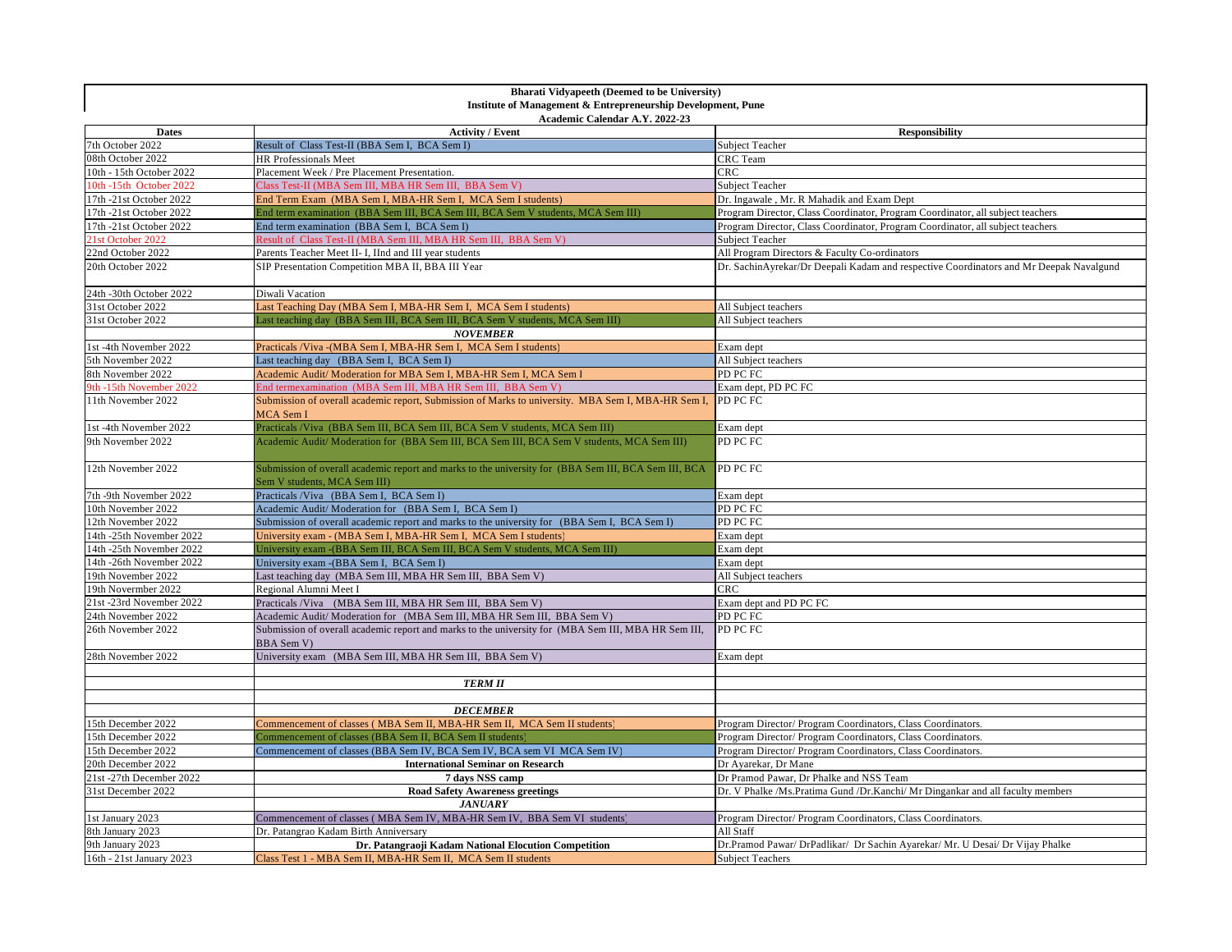| <b>Bharati Vidyapeeth (Deemed to be University)</b><br>Institute of Management & Entrepreneurship Development, Pune |                                                                                                                                      |                                                                                        |  |  |
|---------------------------------------------------------------------------------------------------------------------|--------------------------------------------------------------------------------------------------------------------------------------|----------------------------------------------------------------------------------------|--|--|
| Academic Calendar A.Y. 2022-23                                                                                      |                                                                                                                                      |                                                                                        |  |  |
| <b>Dates</b>                                                                                                        | <b>Activity / Event</b>                                                                                                              | <b>Responsibility</b>                                                                  |  |  |
| 7th October 2022                                                                                                    | Result of Class Test-II (BBA Sem I, BCA Sem I)                                                                                       | Subject Teacher                                                                        |  |  |
| 08th October 2022                                                                                                   | HR Professionals Meet                                                                                                                | CRC Team                                                                               |  |  |
| 10th - 15th October 2022                                                                                            | Placement Week / Pre Placement Presentation.                                                                                         | CRC                                                                                    |  |  |
| 10th -15th October 2022                                                                                             | Class Test-II (MBA Sem III, MBA HR Sem III, BBA Sem V)                                                                               | <b>Subject Teacher</b>                                                                 |  |  |
| 17th -21st October 2022                                                                                             | End Term Exam (MBA Sem I, MBA-HR Sem I, MCA Sem I students)                                                                          | Dr. Ingawale, Mr. R Mahadik and Exam Dept                                              |  |  |
| 17th -21st October 2022                                                                                             | End term examination (BBA Sem III, BCA Sem III, BCA Sem V students, MCA Sem III)                                                     | Program Director, Class Coordinator, Program Coordinator, all subject teachers         |  |  |
| 17th -21st October 2022                                                                                             | End term examination (BBA Sem I, BCA Sem I)                                                                                          | Program Director, Class Coordinator, Program Coordinator, all subject teachers.        |  |  |
| 21st October 2022                                                                                                   | Result of Class Test-II (MBA Sem III, MBA HR Sem III, BBA Sem V)                                                                     | Subject Teacher                                                                        |  |  |
| 22nd October 2022                                                                                                   | Parents Teacher Meet II- I, IInd and III year students                                                                               | All Program Directors & Faculty Co-ordinators                                          |  |  |
| 20th October 2022                                                                                                   | SIP Presentation Competition MBA II, BBA III Year                                                                                    | Dr. SachinAyrekar/Dr Deepali Kadam and respective Coordinators and Mr Deepak Navalgund |  |  |
| 24th -30th October 2022                                                                                             | Diwali Vacation                                                                                                                      |                                                                                        |  |  |
| 31st October 2022                                                                                                   | Last Teaching Day (MBA Sem I, MBA-HR Sem I, MCA Sem I students)                                                                      | All Subject teachers                                                                   |  |  |
| 31st October 2022                                                                                                   | Last teaching day (BBA Sem III, BCA Sem III, BCA Sem V students, MCA Sem III)                                                        | All Subject teachers                                                                   |  |  |
|                                                                                                                     | <b>NOVEMBER</b>                                                                                                                      |                                                                                        |  |  |
| 1st -4th November 2022                                                                                              | Practicals /Viva - (MBA Sem I, MBA-HR Sem I, MCA Sem I students)                                                                     | Exam dept                                                                              |  |  |
| 5th November 2022                                                                                                   | Last teaching day (BBA Sem I, BCA Sem I)                                                                                             | All Subject teachers                                                                   |  |  |
| 8th November 2022                                                                                                   | Academic Audit/ Moderation for MBA Sem I, MBA-HR Sem I, MCA Sem I                                                                    | PD PC FC                                                                               |  |  |
| 9th -15th November 2022                                                                                             | End termexamination (MBA Sem III, MBA HR Sem III, BBA Sem V)                                                                         | Exam dept, PD PC FC                                                                    |  |  |
| 11th November 2022                                                                                                  | Submission of overall academic report, Submission of Marks to university. MBA Sem I, MBA-HR Sem I,<br>MCA Sem I                      | PD PC FC                                                                               |  |  |
| 1st -4th November 2022                                                                                              | Practicals /Viva (BBA Sem III, BCA Sem III, BCA Sem V students, MCA Sem III)                                                         | Exam dept                                                                              |  |  |
| 9th November 2022                                                                                                   | Academic Audit/Moderation for (BBA Sem III, BCA Sem III, BCA Sem V students, MCA Sem III)                                            | PD PC FC                                                                               |  |  |
| 12th November 2022                                                                                                  | Submission of overall academic report and marks to the university for (BBA Sem III, BCA Sem III, BCA<br>Sem V students, MCA Sem III) | PD PC FC                                                                               |  |  |
| 7th -9th November 2022                                                                                              | Practicals /Viva (BBA Sem I, BCA Sem I)                                                                                              | Exam dept                                                                              |  |  |
| 10th November 2022                                                                                                  | Academic Audit/Moderation for (BBA Sem I, BCA Sem I)                                                                                 | PD PC FC                                                                               |  |  |
| 12th November 2022                                                                                                  | Submission of overall academic report and marks to the university for (BBA Sem I, BCA Sem I)                                         | PD PC FC                                                                               |  |  |
| 14th -25th November 2022                                                                                            | University exam - (MBA Sem I, MBA-HR Sem I, MCA Sem I students)                                                                      | Exam dept                                                                              |  |  |
| 14th -25th November 2022                                                                                            | University exam -(BBA Sem III, BCA Sem III, BCA Sem V students, MCA Sem III)                                                         | Exam dept                                                                              |  |  |
| 14th -26th November 2022                                                                                            | University exam - (BBA Sem I, BCA Sem I)                                                                                             | Exam dept                                                                              |  |  |
| 19th November 2022                                                                                                  | Last teaching day (MBA Sem III, MBA HR Sem III, BBA Sem V)                                                                           | All Subject teachers                                                                   |  |  |
| 19th Novermber 2022                                                                                                 | Regional Alumni Meet I                                                                                                               | CRC                                                                                    |  |  |
| 21st -23rd November 2022                                                                                            | Practicals /Viva (MBA Sem III, MBA HR Sem III, BBA Sem V)                                                                            | Exam dept and PD PC FC                                                                 |  |  |
| 24th November 2022                                                                                                  | Academic Audit/Moderation for (MBA Sem III, MBA HR Sem III, BBA Sem V)                                                               | PD PC FC                                                                               |  |  |
| 26th November 2022                                                                                                  | Submission of overall academic report and marks to the university for (MBA Sem III, MBA HR Sem III,<br>BBA Sem V)                    | PD PC FC                                                                               |  |  |
| 28th November 2022                                                                                                  | University exam (MBA Sem III, MBA HR Sem III, BBA Sem V)                                                                             | Exam dept                                                                              |  |  |
|                                                                                                                     |                                                                                                                                      |                                                                                        |  |  |
|                                                                                                                     | <b>TERM II</b>                                                                                                                       |                                                                                        |  |  |
|                                                                                                                     |                                                                                                                                      |                                                                                        |  |  |
|                                                                                                                     | <b>DECEMBER</b>                                                                                                                      |                                                                                        |  |  |
| 15th December 2022                                                                                                  | Commencement of classes (MBA Sem II, MBA-HR Sem II, MCA Sem II students)                                                             | Program Director/Program Coordinators, Class Coordinators.                             |  |  |
| 15th December 2022                                                                                                  | Commencement of classes (BBA Sem II, BCA Sem II students)                                                                            | Program Director/ Program Coordinators, Class Coordinators.                            |  |  |
| 15th December 2022                                                                                                  | Commencement of classes (BBA Sem IV, BCA Sem IV, BCA sem VI MCA Sem IV)                                                              | Program Director/ Program Coordinators, Class Coordinators.                            |  |  |
| 20th December 2022                                                                                                  | <b>International Seminar on Research</b>                                                                                             | Dr Ayarekar, Dr Mane                                                                   |  |  |
| 21st-27th December 2022                                                                                             | 7 days NSS camp                                                                                                                      | Dr Pramod Pawar, Dr Phalke and NSS Team                                                |  |  |
| 31st December 2022                                                                                                  | <b>Road Safety Awareness greetings</b>                                                                                               | Dr. V Phalke /Ms.Pratima Gund /Dr.Kanchi/ Mr Dingankar and all faculty members         |  |  |
|                                                                                                                     | <b>JANUARY</b>                                                                                                                       |                                                                                        |  |  |
| 1st January 2023                                                                                                    | Commencement of classes (MBA Sem IV, MBA-HR Sem IV, BBA Sem VI students)                                                             | Program Director/ Program Coordinators, Class Coordinators                             |  |  |
| 8th January 2023                                                                                                    | Dr. Patangrao Kadam Birth Anniversary                                                                                                | All Staff                                                                              |  |  |
| 9th January 2023                                                                                                    | Dr. Patangraoji Kadam National Elocution Competition                                                                                 | Dr.Pramod Pawar/ DrPadlikar/ Dr Sachin Ayarekar/ Mr. U Desai/ Dr Vijay Phalke          |  |  |
| 16th - 21st January 2023                                                                                            | Class Test 1 - MBA Sem II, MBA-HR Sem II, MCA Sem II students                                                                        | <b>Subject Teachers</b>                                                                |  |  |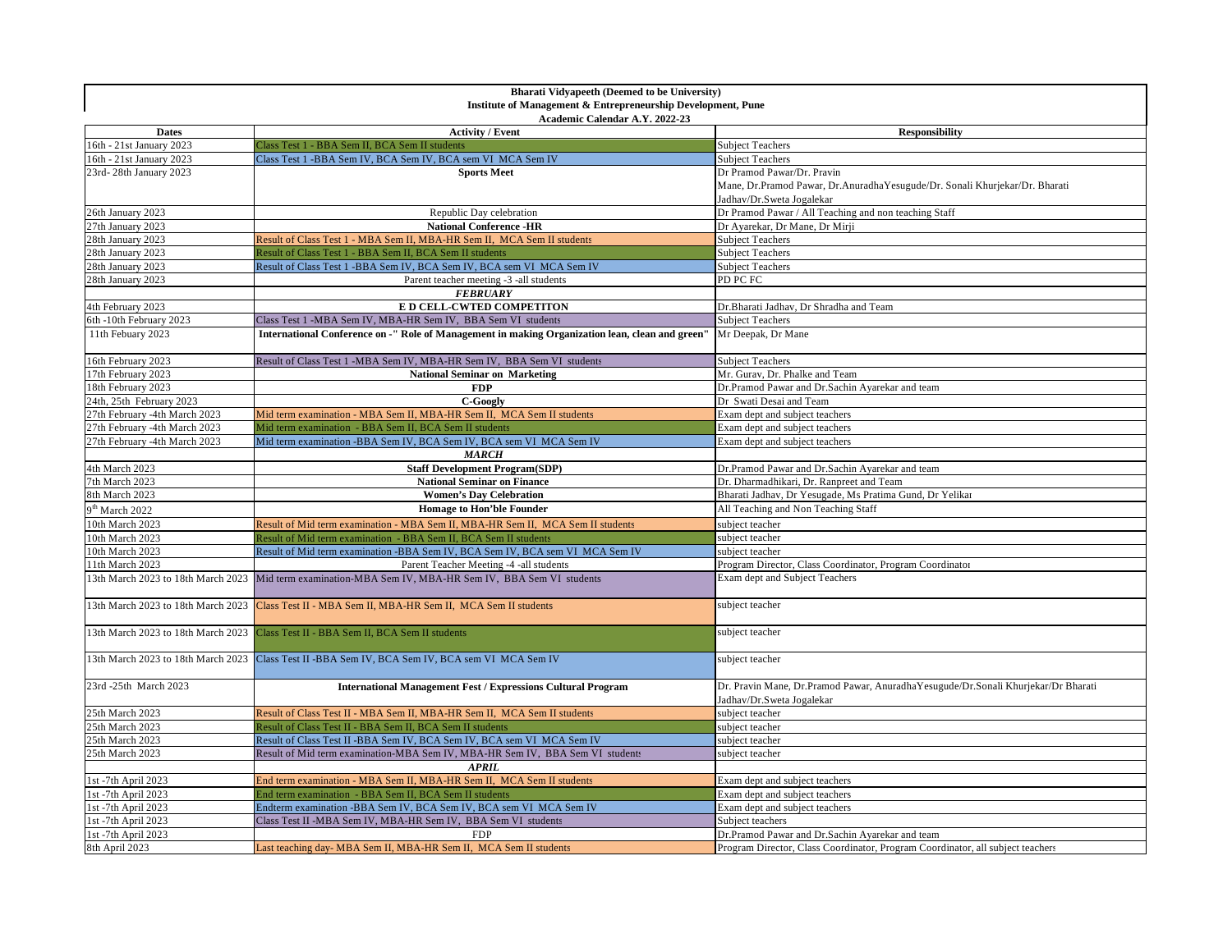| <b>Bharati Vidyapeeth (Deemed to be University)</b><br>Institute of Management & Entrepreneurship Development, Pune |                                                                                                        |                                                                                                                |  |  |
|---------------------------------------------------------------------------------------------------------------------|--------------------------------------------------------------------------------------------------------|----------------------------------------------------------------------------------------------------------------|--|--|
| Academic Calendar A.Y. 2022-23                                                                                      |                                                                                                        |                                                                                                                |  |  |
| <b>Dates</b>                                                                                                        | <b>Activity / Event</b>                                                                                | <b>Responsibility</b>                                                                                          |  |  |
| 16th - 21st January 2023                                                                                            | Class Test 1 - BBA Sem II, BCA Sem II students                                                         | <b>Subject Teachers</b>                                                                                        |  |  |
| 16th - 21st January 2023                                                                                            | Class Test 1 - BBA Sem IV, BCA Sem IV, BCA sem VI MCA Sem IV                                           | <b>Subject Teachers</b>                                                                                        |  |  |
| 23rd-28th January 2023                                                                                              | <b>Sports Meet</b>                                                                                     | Dr Pramod Pawar/Dr. Pravin                                                                                     |  |  |
|                                                                                                                     |                                                                                                        | Mane, Dr.Pramod Pawar, Dr.AnuradhaYesugude/Dr. Sonali Khurjekar/Dr. Bharati                                    |  |  |
|                                                                                                                     |                                                                                                        | Jadhav/Dr.Sweta Jogalekar                                                                                      |  |  |
| 26th January 2023                                                                                                   | Republic Day celebration                                                                               | Dr Pramod Pawar / All Teaching and non teaching Staff                                                          |  |  |
| 27th January 2023                                                                                                   | <b>National Conference -HR</b>                                                                         | Dr Ayarekar, Dr Mane, Dr Mirji                                                                                 |  |  |
| 28th January 2023                                                                                                   | Result of Class Test 1 - MBA Sem II, MBA-HR Sem II, MCA Sem II students                                | <b>Subject Teachers</b>                                                                                        |  |  |
| 28th January 2023                                                                                                   | Result of Class Test 1 - BBA Sem II, BCA Sem II students                                               | <b>Subject Teachers</b>                                                                                        |  |  |
| 28th January 2023                                                                                                   | Result of Class Test 1 - BBA Sem IV, BCA Sem IV, BCA sem VI MCA Sem IV                                 | <b>Subject Teachers</b>                                                                                        |  |  |
| 28th January 2023                                                                                                   | Parent teacher meeting -3 -all students                                                                | PD PC FC                                                                                                       |  |  |
|                                                                                                                     | <b>FEBRUARY</b>                                                                                        |                                                                                                                |  |  |
| 4th February 2023                                                                                                   | E D CELL-CWTED COMPETITON                                                                              | Dr.Bharati Jadhav, Dr Shradha and Team                                                                         |  |  |
| 6th -10th February 2023                                                                                             | Class Test 1 -MBA Sem IV, MBA-HR Sem IV, BBA Sem VI students                                           | <b>Subject Teachers</b>                                                                                        |  |  |
| 11th Febuary 2023                                                                                                   | International Conference on -" Role of Management in making Organization lean, clean and green"        | Mr Deepak, Dr Mane                                                                                             |  |  |
| 16th February 2023                                                                                                  | Result of Class Test 1 -MBA Sem IV, MBA-HR Sem IV, BBA Sem VI students                                 | Subject Teachers                                                                                               |  |  |
| 17th February 2023                                                                                                  | <b>National Seminar on Marketing</b>                                                                   | Mr. Gurav, Dr. Phalke and Team                                                                                 |  |  |
| 18th February 2023                                                                                                  | <b>FDP</b>                                                                                             | Dr.Pramod Pawar and Dr.Sachin Ayarekar and team                                                                |  |  |
| 24th, 25th February 2023                                                                                            | C-Googly                                                                                               | Dr Swati Desai and Team                                                                                        |  |  |
| 27th February -4th March 2023                                                                                       | Mid term examination - MBA Sem II, MBA-HR Sem II, MCA Sem II students                                  | Exam dept and subject teachers                                                                                 |  |  |
| 27th February -4th March 2023                                                                                       | Mid term examination - BBA Sem II, BCA Sem II students                                                 | Exam dept and subject teachers                                                                                 |  |  |
| 27th February -4th March 2023                                                                                       | Mid term examination -BBA Sem IV, BCA Sem IV, BCA sem VI MCA Sem IV                                    | Exam dept and subject teachers                                                                                 |  |  |
|                                                                                                                     | <b>MARCH</b>                                                                                           |                                                                                                                |  |  |
| 4th March 2023                                                                                                      | <b>Staff Development Program(SDP)</b>                                                                  | Dr.Pramod Pawar and Dr.Sachin Ayarekar and team                                                                |  |  |
| 7th March 2023                                                                                                      | <b>National Seminar on Finance</b>                                                                     | Dr. Dharmadhikari, Dr. Ranpreet and Team                                                                       |  |  |
| 8th March 2023                                                                                                      | <b>Women's Day Celebration</b>                                                                         | Bharati Jadhav, Dr Yesugade, Ms Pratima Gund, Dr Yelikar                                                       |  |  |
| $9th$ March 2022                                                                                                    | <b>Homage to Hon'ble Founder</b>                                                                       | All Teaching and Non Teaching Staff                                                                            |  |  |
| 10th March 2023                                                                                                     | Result of Mid term examination - MBA Sem II, MBA-HR Sem II, MCA Sem II students                        | subject teacher                                                                                                |  |  |
| 10th March 2023                                                                                                     | Result of Mid term examination - BBA Sem II, BCA Sem II students                                       | subject teacher                                                                                                |  |  |
| 10th March 2023                                                                                                     | Result of Mid term examination -BBA Sem IV, BCA Sem IV, BCA sem VI MCA Sem IV                          | subject teacher                                                                                                |  |  |
| 11th March 2023                                                                                                     | Parent Teacher Meeting -4 -all students                                                                | Program Director, Class Coordinator, Program Coordinator                                                       |  |  |
|                                                                                                                     | 13th March 2023 to 18th March 2023 Mid term examination-MBA Sem IV, MBA-HR Sem IV, BBA Sem VI students | Exam dept and Subject Teachers                                                                                 |  |  |
| 13th March 2023 to 18th March 2023                                                                                  | Class Test II - MBA Sem II, MBA-HR Sem II, MCA Sem II students                                         | subject teacher                                                                                                |  |  |
| 13th March 2023 to 18th March 2023                                                                                  | Class Test II - BBA Sem II, BCA Sem II students                                                        | subject teacher                                                                                                |  |  |
|                                                                                                                     | 13th March 2023 to 18th March 2023 Class Test II -BBA Sem IV, BCA Sem IV, BCA sem VI MCA Sem IV        | subject teacher                                                                                                |  |  |
| 23rd -25th March 2023                                                                                               | <b>International Management Fest / Expressions Cultural Program</b>                                    | Dr. Pravin Mane, Dr.Pramod Pawar, AnuradhaYesugude/Dr.Sonali Khurjekar/Dr Bharati<br>Jadhav/Dr.Sweta Jogalekar |  |  |
| 25th March 2023                                                                                                     | Result of Class Test II - MBA Sem II, MBA-HR Sem II, MCA Sem II students                               | subject teacher                                                                                                |  |  |
| 25th March 2023                                                                                                     | Result of Class Test II - BBA Sem II, BCA Sem II students                                              | subject teacher                                                                                                |  |  |
| 25th March 2023                                                                                                     | Result of Class Test II -BBA Sem IV, BCA Sem IV, BCA sem VI MCA Sem IV                                 | subject teacher                                                                                                |  |  |
| 25th March 2023                                                                                                     | Result of Mid term examination-MBA Sem IV, MBA-HR Sem IV, BBA Sem VI students                          | subject teacher                                                                                                |  |  |
|                                                                                                                     | <b>APRIL</b>                                                                                           |                                                                                                                |  |  |
| 1st -7th April 2023                                                                                                 | End term examination - MBA Sem II, MBA-HR Sem II, MCA Sem II students                                  | Exam dept and subject teachers                                                                                 |  |  |
| 1st -7th April 2023                                                                                                 | End term examination - BBA Sem II, BCA Sem II students                                                 | Exam dept and subject teachers                                                                                 |  |  |
| 1st -7th April 2023                                                                                                 | Endterm examination -BBA Sem IV, BCA Sem IV, BCA sem VI MCA Sem IV                                     | Exam dept and subject teachers                                                                                 |  |  |
| 1st -7th April 2023                                                                                                 | Class Test II -MBA Sem IV, MBA-HR Sem IV, BBA Sem VI students                                          | Subject teachers                                                                                               |  |  |
| 1st -7th April 2023                                                                                                 | <b>FDP</b>                                                                                             | Dr.Pramod Pawar and Dr.Sachin Ayarekar and team                                                                |  |  |
| 8th April 2023                                                                                                      | Last teaching day- MBA Sem II, MBA-HR Sem II, MCA Sem II students                                      | Program Director, Class Coordinator, Program Coordinator, all subject teachers                                 |  |  |